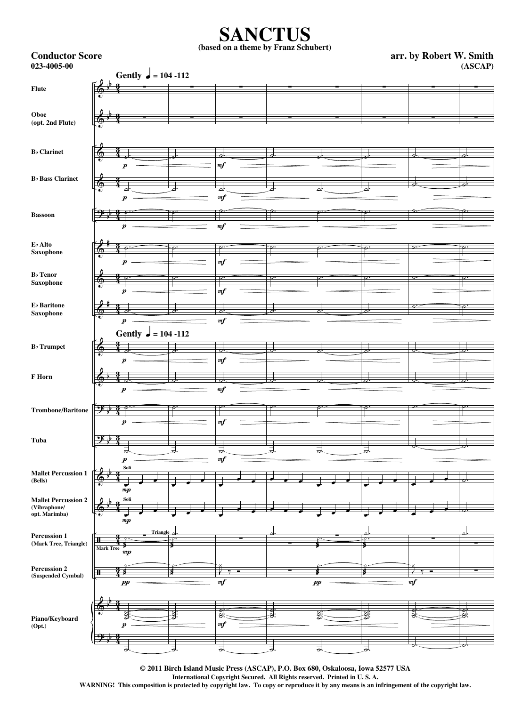## **SANCTUS**

**(based on a theme by Franz Schubert)**

**arr. by Robert W. Smith**

## **Conductor Score 023-4005-00**

| 023-4005-00                                |                             |                               |      |                    |               |                   |              | ູ         | (ASCAP)                   |
|--------------------------------------------|-----------------------------|-------------------------------|------|--------------------|---------------|-------------------|--------------|-----------|---------------------------|
|                                            | Gently $\bullet$ = 104 -112 |                               |      |                    |               |                   |              |           |                           |
| Flute                                      |                             |                               |      |                    |               |                   |              |           |                           |
|                                            |                             |                               |      |                    |               |                   |              |           |                           |
| Oboe                                       |                             |                               |      |                    |               |                   |              |           |                           |
| (opt. 2nd Flute)                           |                             |                               |      |                    |               |                   |              |           |                           |
|                                            |                             |                               |      |                    |               |                   |              |           |                           |
|                                            |                             |                               |      |                    |               |                   |              |           |                           |
| <b>B</b> <sub>b</sub> Clarinet             |                             |                               |      |                    |               |                   |              |           |                           |
|                                            | Ģ                           |                               |      | m f                |               |                   |              |           |                           |
|                                            |                             | $\boldsymbol{p}$              |      |                    |               |                   |              |           |                           |
| <b>B</b> <sub>b</sub> Bass Clarinet        |                             |                               |      |                    |               |                   |              |           | s.                        |
|                                            | Ģ                           | ↵                             | ⊿    | ক                  | ↵             | ਣਾ                | ↵            |           |                           |
|                                            |                             | $\boldsymbol{p}$              |      | m f                |               |                   |              |           |                           |
|                                            | ᠇                           |                               |      |                    |               |                   |              |           |                           |
| Bassoon                                    |                             |                               |      |                    |               |                   |              |           |                           |
|                                            |                             | $\boldsymbol{p}$              |      | m f                |               |                   |              |           |                           |
| Eb Alto                                    |                             |                               |      |                    |               |                   |              |           |                           |
| Saxophone                                  |                             |                               |      | $\curvearrowright$ |               | P                 |              |           |                           |
|                                            | $\bullet$                   | $\boldsymbol{p}$              |      | m f                |               |                   |              |           |                           |
|                                            |                             |                               |      |                    |               |                   |              |           |                           |
| B♭ Tenor<br>Saxophone                      | G                           |                               |      | ο                  |               |                   |              |           |                           |
|                                            | $\overline{\bullet}$        | $\boldsymbol{p}$              |      | m f                |               |                   |              |           |                           |
| <b>E</b> b Baritone<br>Saxophone           |                             |                               |      |                    |               |                   |              |           |                           |
|                                            |                             |                               |      | o                  |               |                   |              |           |                           |
|                                            | $\bullet$                   | $\boldsymbol{p}$              |      | m f                |               |                   |              |           |                           |
|                                            |                             |                               |      |                    |               |                   |              |           |                           |
|                                            |                             | Gently $\sqrt{ } = 104 - 112$ |      |                    |               |                   |              |           |                           |
| <b>B</b> <sub>b</sub> Trumpet              |                             |                               |      |                    |               |                   |              |           |                           |
|                                            | Ģ                           |                               |      |                    |               |                   |              |           |                           |
|                                            |                             | $\boldsymbol{p}$              |      | m f                |               |                   |              |           |                           |
| F Horn                                     |                             |                               |      |                    |               |                   |              |           |                           |
|                                            |                             |                               |      | m f                |               |                   |              |           | ↗                         |
|                                            |                             | $\pmb{p}$                     |      |                    |               |                   |              |           |                           |
| <b>Trombone/Baritone</b>                   | $\mathbf{\mathcal{P}}$      |                               |      | ρ                  |               | ₽                 |              |           |                           |
|                                            |                             |                               |      |                    |               |                   |              |           |                           |
|                                            |                             | $\boldsymbol{p}$              |      | m f                |               |                   |              |           |                           |
| Tuba                                       |                             |                               |      |                    |               |                   |              |           |                           |
|                                            | $\mathbf{p}$                |                               |      |                    |               |                   |              |           |                           |
|                                            |                             | $\exists$ .                   | ,    | ヺ                  | ,             | न,                | 긍.           |           |                           |
|                                            |                             | $\boldsymbol{p}$              |      | m f                |               |                   |              |           |                           |
| <b>Mallet Percussion 1</b>                 |                             | Soli                          |      |                    |               |                   |              |           |                           |
| (Bells)                                    |                             | T                             |      |                    |               |                   |              |           |                           |
|                                            |                             | $\bar{mp}$                    |      |                    |               |                   |              |           |                           |
| <b>Mallet Percussion 2</b><br>(Vibraphone/ |                             | Soli                          |      |                    |               |                   |              |           |                           |
| opt. Marimba)                              |                             | $\overline{\phantom{a}}$      |      |                    |               |                   |              |           |                           |
|                                            |                             | $\mathbf{m}$                  |      |                    |               |                   |              |           |                           |
| <b>Percussion 1</b>                        |                             | Triangle $\wedge$             |      |                    |               |                   |              |           |                           |
| (Mark Tree, Triangle)                      |                             |                               |      |                    |               | ឃ<br>ż            | ᠊            |           |                           |
|                                            | Mark Tree                   | $\mathbf{m}$                  |      |                    |               |                   |              |           |                           |
|                                            |                             |                               |      |                    |               |                   |              |           |                           |
| <b>Percussion 2</b><br>(Suspended Cymbal)  | 7                           | ⋽                             | ł    | ₽<br>$\gamma$ =    |               | ≸                 | 3            | $\bullet$ |                           |
|                                            |                             | $\boldsymbol{pp}$             |      | m f                |               | $\boldsymbol{pp}$ |              | $\it mf$  |                           |
|                                            |                             |                               |      |                    |               |                   |              |           |                           |
|                                            |                             |                               |      |                    |               |                   |              |           |                           |
|                                            |                             | द्भिः                         | द्वी | $\frac{1}{2}$      | $\frac{1}{2}$ | ट्वी              | ईः           | ट्टी:     | $\overline{\mathbf{z}}$ : |
| Piano/Keyboard<br>(Opt.)                   |                             | $\boldsymbol{p}$              |      | m f                |               |                   |              |           |                           |
|                                            |                             |                               |      |                    |               |                   |              |           |                           |
|                                            | $9\frac{1}{2}$              |                               |      |                    |               |                   |              |           |                           |
|                                            |                             | $\exists$ .                   | ,    | ,                  | <del>.</del>  | न्न.              | <del>.</del> |           |                           |

**© 2011 Birch Island Music Press (ASCAP), P.O. Box 680, Oskaloosa, Iowa 52577 USA International Copyright Secured. All Rights reserved. Printed in U. S. A.**

**WARNING! This composition is protected by copyright law. To copy or reproduce it by any means is an infringement of the copyright law.**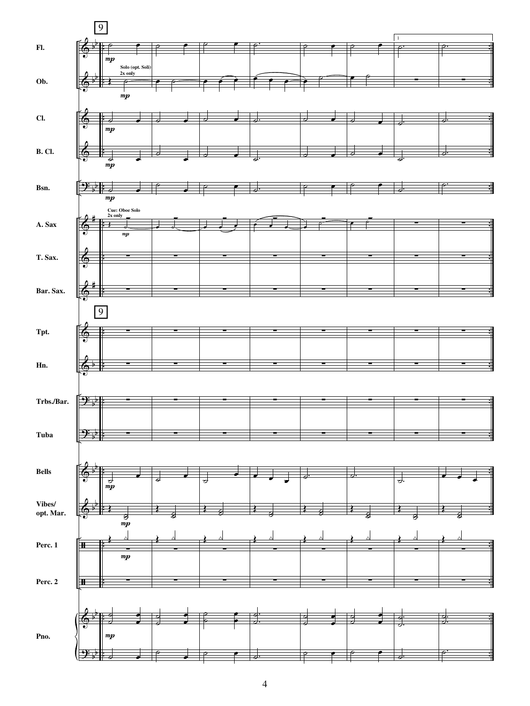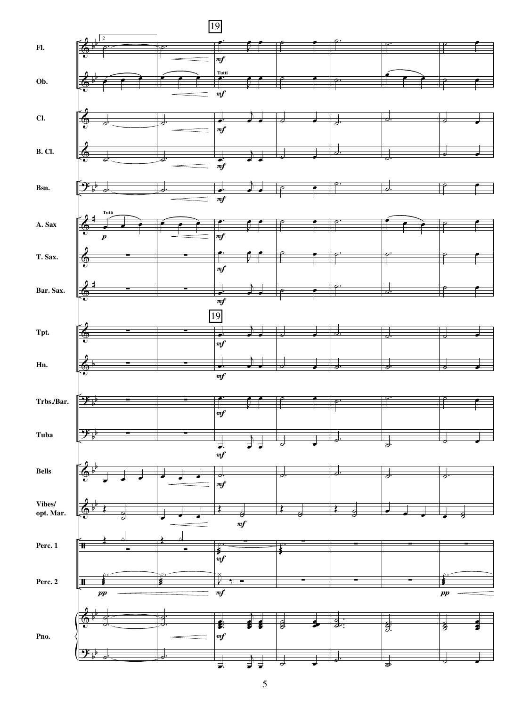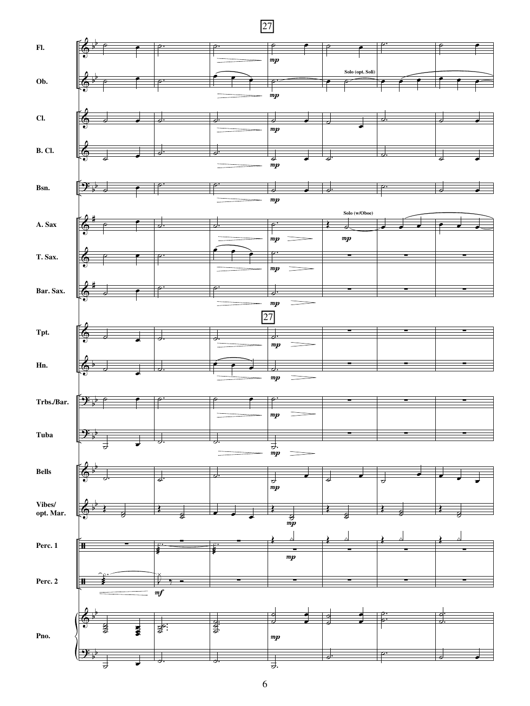

6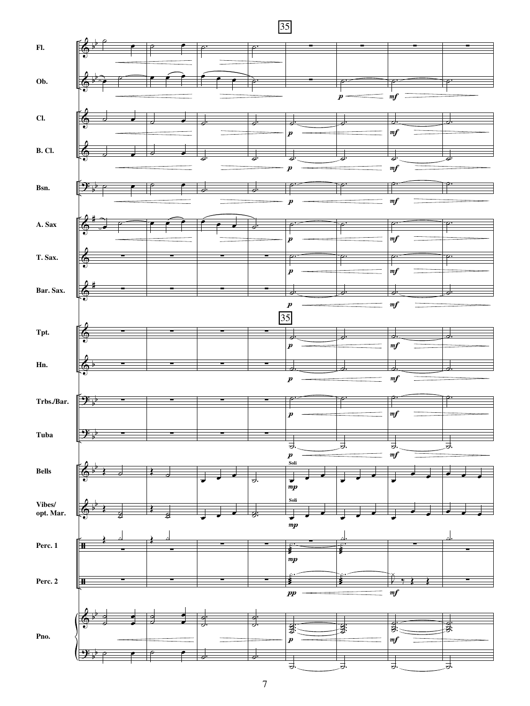

7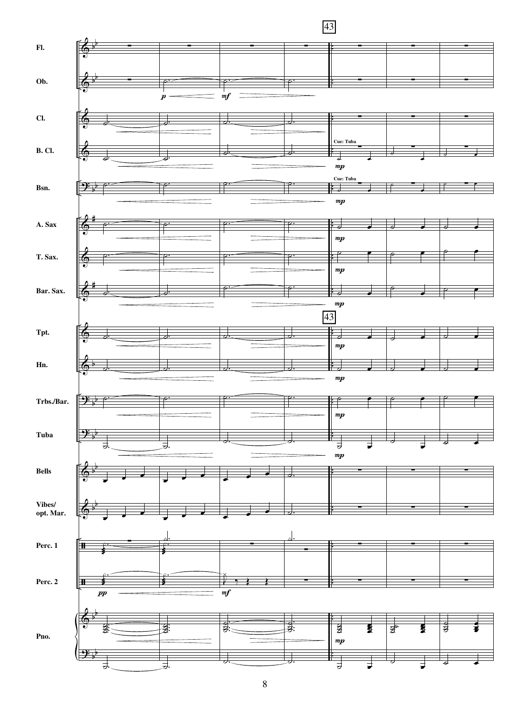43 b  $\delta$ ................................................................ b ∑∑ ∑ ∑ ∑ ∑∑∑∑ ∑∑∑∑ ∑∑∑∑ **Fl.** &&&&?&&&&&??&&ãã&? b . . . b ˙ ˙ **Ob.**  $\bar{e}$  $m f$ . 하 부분에 대해 있는 것이 없는 것이 없는 것이 없는 것이 있는 것이 있는 것이 있는 것이 있는 것이 있는 것이 있는 것이 있는 것이 있는 것이 있는 것이 있는 것이 있는 것이 있는 것이 있는 것이 있는 것이 있는 것이 있는 것이 있는 것이 있는 것이 있는 것이 있는 것이 있는 것이 있는 것이 있는 것이 있는 것이 있는 것이 있는 것이 있는 것이 있는 것이 있는 것이 있는 것이 있는 것이  $\boldsymbol{p}$ **Cl.** ˙ . . o. .  $\overline{\phantom{a}}$ .  $\Box$ **Cue: Tuba B. Cl.** . .  $\overline{\phantom{a}}$  $\overline{\phantom{0}}$ ˙ ˙ œ . . ˙ ˙ ˙ œ œ PPPPPPPPP **Cue: Tuba** . . ˙ . . ˙ ˙ ∑ ∑ ˙ ∑ œ b ˙ **Bsn.** ˙ ˙ b œ œ  $\mathit{mp}$ ##bb . . ˙ . ˙ .  $\overline{e}$  $\overline{e}$ **A. Sax** <u>: す</u> œ  $\overline{\phantom{a}}$ œ  $\overline{\bullet}$ œ  $\boldsymbol{m}$ ˙ œ œ œ ˙ ˙ . ˙ . ˙ . ˙ . **T. Sax. ፡**‡  $\boldsymbol{m}$ . . ˙ ˙ ˙ ˙ œ **Bar. Sax.** . .  $\overline{\phantom{a}}$  $\Box$  $\Box$ œ œ  $\mathcal{L}$  $\boldsymbol{m}\boldsymbol{p}$ 43 **Tpt.** . . . . ˙ œ  $\overline{\phantom{a}}$ œ œ  $\overline{a}$ ˙ ˙  $\overline{a}$ ˙ **Hn.**  $\overline{a}$ . ˙ .  $\overline{c}$ .  $\frac{1}{2}$ . ˙ œ  $\overline{c}$ œ ˙ œ  $\mathbf{m}\mathbf{p}$ ˙ ˙ ˙ œ . . . .  $\frac{\partial}{\partial \theta}$ ˙ œ ˙ œ **Trbs./Bar.**  $\overline{\phantom{a}}$  $\mathbf{m}$  $\frac{1}{2}$ **Tuba**  $\mathsf{d}_\mathsf{L}$ . ˙ .  $\mathsf{d}_\mathsf{L}$  $\overline{\phantom{a}}$ œ  $\exists$  $\exists$ œ œ . 궁. .  $\boldsymbol{m}\boldsymbol{p}$ b b ∑∑∑∑ ∑∑∑∑ ∑∑∑∑ **Bells** œ œ œ ˙ . œ œ œ œ œ œ b **Vibes/** b œ œ œ  $\overline{c}$ . **opt. Mar.** œ œ œ œ œ œ  $\overline{a}$ .  $\overline{z}$ . ∑ · · . . ∑ **Perc. 1**  $\mathbf{H}$ . ∑∑ æ· ≩<br>م . .  $\frac{1}{2}$   $\frac{1}{2}$ **Perc. 2**  $\bf{H}$ J¿ æ æ  $m f$  $\boldsymbol{p}$ b b  $\frac{1}{2}$ ... ...  $\frac{1}{2}$ ˙˙˙˙  $\frac{1}{3}$ ˙˙˙˙ œœœ ˙˙˙˙ ... ˙˙˙˙ ... œœœ œœœ ˙˙˙ ان<br>نامه

 $\frac{1}{2}$ **Pno.**

.

न्र

.

 $\exists$ .

.

˙

 $\mathbf{m} \mathbf{p}$ 

œ

**jd** 

 $\overline{a}$ 

œ

 $\vec{e}$ 

œ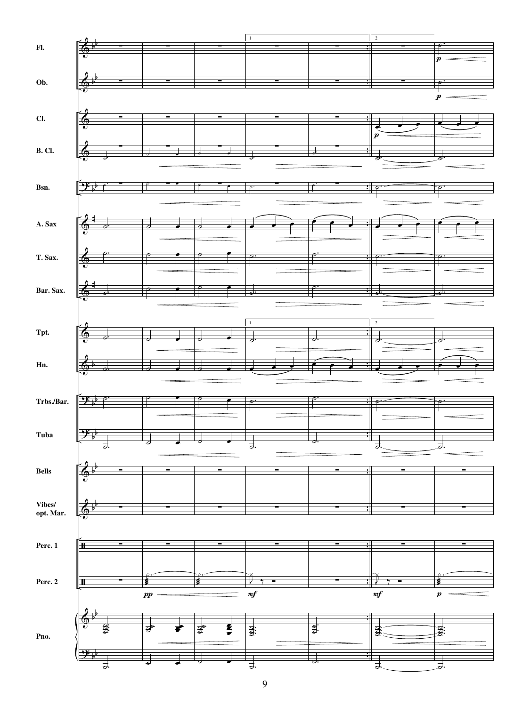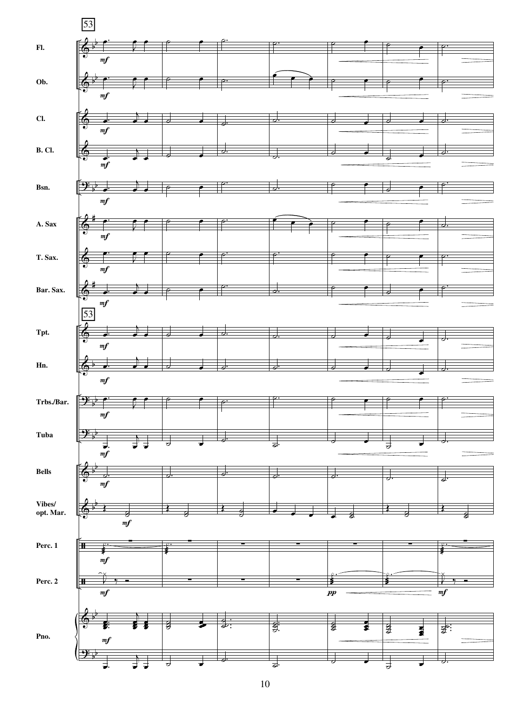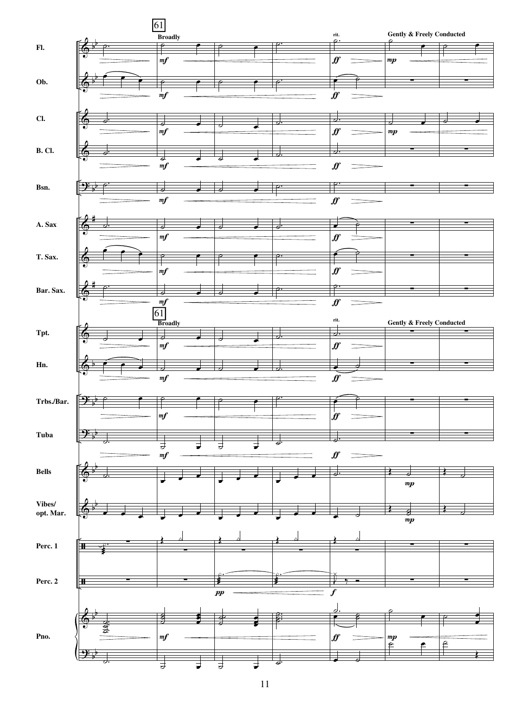